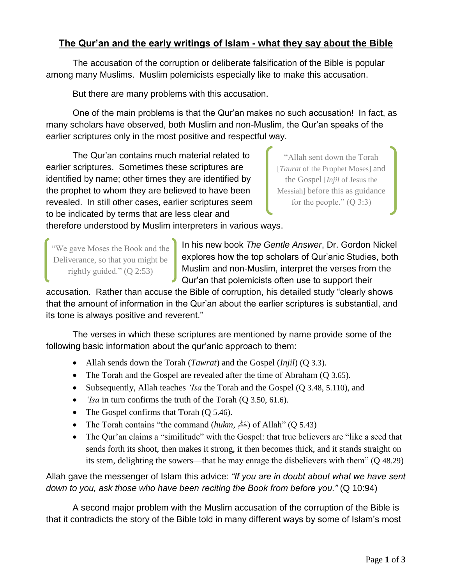## **The Qur'an and the early writings of Islam - what they say about the Bible**

The accusation of the corruption or deliberate falsification of the Bible is popular among many Muslims. Muslim polemicists especially like to make this accusation.

But there are many problems with this accusation.

One of the main problems is that the Qur'an makes no such accusation! In fact, as many scholars have observed, both Muslim and non-Muslim, the Qur'an speaks of the earlier scriptures only in the most positive and respectful way.

The Qur'an contains much material related to earlier scriptures. Sometimes these scriptures are identified by name; other times they are identified by the prophet to whom they are believed to have been revealed. In still other cases, earlier scriptures seem to be indicated by terms that are less clear and

"Allah sent down the Torah [*Taurat* of the Prophet Moses] and the Gospel [*Injil* of Jesus the Messiah] before this as guidance for the people."  $(Q \ 3:3)$ 

therefore understood by Muslim interpreters in various ways.

"We gave Moses the Book and the Deliverance, so that you might be rightly guided."  $(Q 2:53)$ 

In his new book *The Gentle Answer*, Dr. Gordon Nickel explores how the top scholars of Qur'anic Studies, both Muslim and non-Muslim, interpret the verses from the Qur'an that polemicists often use to support their

accusation. Rather than accuse the Bible of corruption, his detailed study "clearly shows that the amount of information in the Qur'an about the earlier scriptures is substantial, and its tone is always positive and reverent."

The verses in which these scriptures are mentioned by name provide some of the following basic information about the qur'anic approach to them:

- Allah sends down the Torah (*Tawrat*) and the Gospel (*Injil*) (Q 3.3).
- The Torah and the Gospel are revealed after the time of Abraham (Q 3.65).
- Subsequently, Allah teaches *'Isa* the Torah and the Gospel (Q 3.48, 5.110), and
- *'Isa* in turn confirms the truth of the Torah (Q 3.50, 61.6).
- The Gospel confirms that Torah (Q 5.46).
- The Torah contains "the command (*hukm*, كُمْ) of Allah" (Q 5.43)
- The Qur'an claims a "similitude" with the Gospel: that true believers are "like a seed that sends forth its shoot, then makes it strong, it then becomes thick, and it stands straight on its stem, delighting the sowers—that he may enrage the disbelievers with them" (Q 48.29)

Allah gave the messenger of Islam this advice: *"If you are in doubt about what we have sent down to you, ask those who have been reciting the Book from before you."* (Q 10:94)

A second major problem with the Muslim accusation of the corruption of the Bible is that it contradicts the story of the Bible told in many different ways by some of Islam's most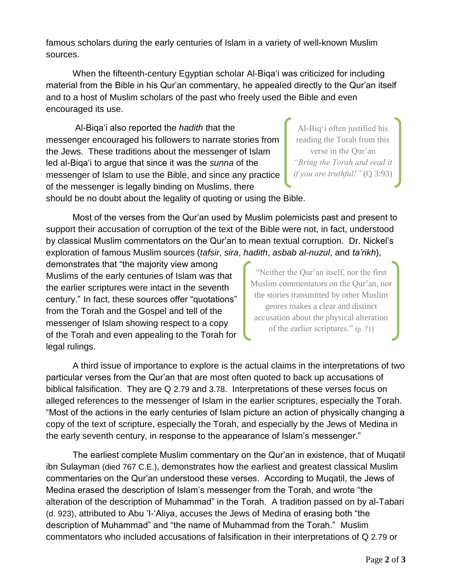famous scholars during the early centuries of Islam in a variety of well-known Muslim sources.

When the fifteenth-century Egyptian scholar Al-Biqa'i was criticized for including material from the Bible in his Qur'an commentary, he appealed directly to the Qur'an itself and to a host of Muslim scholars of the past who freely used the Bible and even encouraged its use.

Al-Biqa'i also reported the *hadith* that the messenger encouraged his followers to narrate stories from the Jews. These traditions about the messenger of Islam led al-Biqa'i to argue that since it was the *sunna* of the messenger of Islam to use the Bible, and since any practice of the messenger is legally binding on Muslims, there should be no doubt about the legality of quoting or using the Bible.

Al-Biq'i often justified his reading the Torah from this verse in the Qur'an *"Bring the Torah and read it if you are truthful!"* (Q 3:93)

Most of the verses from the Qur'an used by Muslim polemicists past and present to support their accusation of corruption of the text of the Bible were not, in fact, understood by classical Muslim commentators on the Qur'an to mean textual corruption. Dr. Nickel's exploration of famous Muslim sources (*tafsir*, *sira*, *hadith*, *asbab al-nuzul*, and *ta'rikh*),

demonstrates that "the majority view among Muslims of the early centuries of Islam was that the earlier scriptures were intact in the seventh century." In fact, these sources offer "quotations" from the Torah and the Gospel and tell of the messenger of Islam showing respect to a copy of the Torah and even appealing to the Torah for legal rulings.

"Neither the Qur'an itself, nor the first Muslim commentators on the Qur'an, nor the stories transmitted by other Muslim genres makes a clear and distinct accusation about the physical alteration of the earlier scriptures." (p. 71)

A third issue of importance to explore is the actual claims in the interpretations of two particular verses from the Qur'an that are most often quoted to back up accusations of biblical falsification. They are Q 2.79 and 3.78. Interpretations of these verses focus on alleged references to the messenger of Islam in the earlier scriptures, especially the Torah. "Most of the actions in the early centuries of Islam picture an action of physically changing a copy of the text of scripture, especially the Torah, and especially by the Jews of Medina in the early seventh century, in response to the appearance of Islam's messenger."

The earliest complete Muslim commentary on the Qur'an in existence, that of Muqatil ibn Sulayman (died 767 C.E.), demonstrates how the earliest and greatest classical Muslim commentaries on the Qur'an understood these verses. According to Muqatil, the Jews of Medina erased the description of Islam's messenger from the Torah, and wrote "the alteration of the description of Muhammad" in the Torah. A tradition passed on by al-Tabari (d. 923), attributed to Abu 'I-'Aliya, accuses the Jews of Medina of erasing both "the description of Muhammad" and "the name of Muhammad from the Torah." Muslim commentators who included accusations of falsification in their interpretations of Q 2.79 or